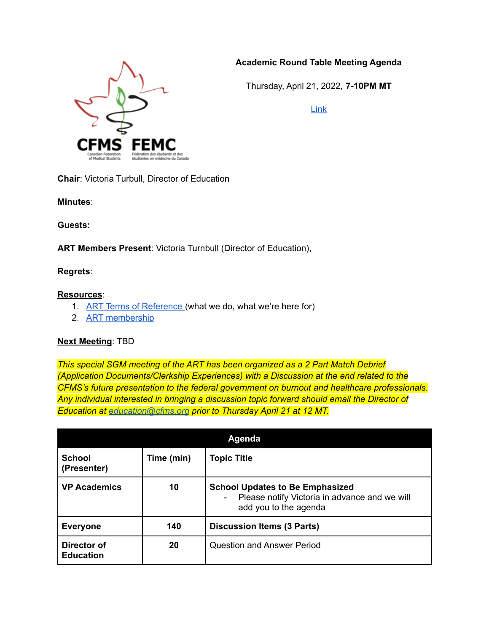## **Academic Round Table Meeting Agenda**



Thursday, April 21, 2022, **7-10PM MT**

[Link](https://mcmaster.zoom.us/j/92906257121?pwd=QTNqYkJoYU9tb25KT3FRenNYYzNJQT09)

**Chair**: Victoria Turbull, Director of Education

**Minutes**:

**Guests:**

**ART Members Present**: Victoria Turnbull (Director of Education),

**Regrets**:

## **Resources**:

- 1. ART Terms of [Reference](https://www.cfms.org/files/internal-policy-bylaws/termsofreference/CFMS%20Academic%20Roundtable%20ToR.pdf) (what we do, what we're here for)
- 2. ART [membership](https://docs.google.com/document/d/1rhJeq-pLmEo9zitdLbbkVLPbtcyxmPozCWmbBw8X3b0/edit?usp=sharing)

## **Next Meeting**: TBD

*This special SGM meeting of the ART has been organized as a 2 Part Match Debrief (Application Documents/Clerkship Experiences) with a Discussion at the end related to the CFMS's future presentation to the federal government on burnout and healthcare professionals. Any individual interested in bringing a discussion topic forward should email the Director of Education at [education@cfms.org](mailto:education@cfms.org) prior to Thursday April 21 at 12 MT.*

| <b>Agenda</b>                   |            |                                                                                                                            |  |  |
|---------------------------------|------------|----------------------------------------------------------------------------------------------------------------------------|--|--|
| <b>School</b><br>(Presenter)    | Time (min) | <b>Topic Title</b>                                                                                                         |  |  |
| <b>VP Academics</b>             | 10         | <b>School Updates to Be Emphasized</b><br>Please notify Victoria in advance and we will<br>$\sim$<br>add you to the agenda |  |  |
| <b>Everyone</b>                 | 140        | <b>Discussion Items (3 Parts)</b>                                                                                          |  |  |
| Director of<br><b>Education</b> | 20         | <b>Question and Answer Period</b>                                                                                          |  |  |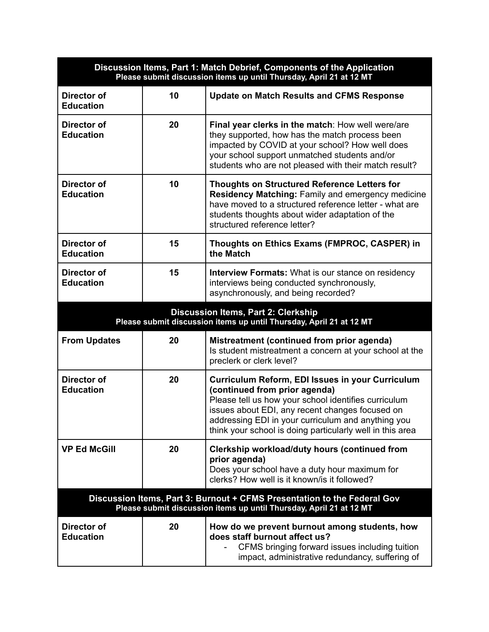| Discussion Items, Part 1: Match Debrief, Components of the Application<br>Please submit discussion items up until Thursday, April 21 at 12 MT   |    |                                                                                                                                                                                                                                                                                                                 |  |  |
|-------------------------------------------------------------------------------------------------------------------------------------------------|----|-----------------------------------------------------------------------------------------------------------------------------------------------------------------------------------------------------------------------------------------------------------------------------------------------------------------|--|--|
| Director of<br><b>Education</b>                                                                                                                 | 10 | <b>Update on Match Results and CFMS Response</b>                                                                                                                                                                                                                                                                |  |  |
| Director of<br><b>Education</b>                                                                                                                 | 20 | Final year clerks in the match: How well were/are<br>they supported, how has the match process been<br>impacted by COVID at your school? How well does<br>your school support unmatched students and/or<br>students who are not pleased with their match result?                                                |  |  |
| Director of<br><b>Education</b>                                                                                                                 | 10 | <b>Thoughts on Structured Reference Letters for</b><br>Residency Matching: Family and emergency medicine<br>have moved to a structured reference letter - what are<br>students thoughts about wider adaptation of the<br>structured reference letter?                                                           |  |  |
| Director of<br><b>Education</b>                                                                                                                 | 15 | Thoughts on Ethics Exams (FMPROC, CASPER) in<br>the Match                                                                                                                                                                                                                                                       |  |  |
| Director of<br><b>Education</b>                                                                                                                 | 15 | <b>Interview Formats:</b> What is our stance on residency<br>interviews being conducted synchronously,<br>asynchronously, and being recorded?                                                                                                                                                                   |  |  |
| Discussion Items, Part 2: Clerkship<br>Please submit discussion items up until Thursday, April 21 at 12 MT                                      |    |                                                                                                                                                                                                                                                                                                                 |  |  |
| <b>From Updates</b>                                                                                                                             | 20 | Mistreatment (continued from prior agenda)<br>Is student mistreatment a concern at your school at the<br>preclerk or clerk level?                                                                                                                                                                               |  |  |
| Director of<br><b>Education</b>                                                                                                                 | 20 | Curriculum Reform, EDI Issues in your Curriculum<br>(continued from prior agenda)<br>Please tell us how your school identifies curriculum<br>issues about EDI, any recent changes focused on<br>addressing EDI in your curriculum and anything you<br>think your school is doing particularly well in this area |  |  |
| <b>VP Ed McGill</b>                                                                                                                             | 20 | Clerkship workload/duty hours (continued from<br>prior agenda)<br>Does your school have a duty hour maximum for<br>clerks? How well is it known/is it followed?                                                                                                                                                 |  |  |
| Discussion Items, Part 3: Burnout + CFMS Presentation to the Federal Gov<br>Please submit discussion items up until Thursday, April 21 at 12 MT |    |                                                                                                                                                                                                                                                                                                                 |  |  |
| Director of<br><b>Education</b>                                                                                                                 | 20 | How do we prevent burnout among students, how<br>does staff burnout affect us?<br>CFMS bringing forward issues including tuition<br>impact, administrative redundancy, suffering of                                                                                                                             |  |  |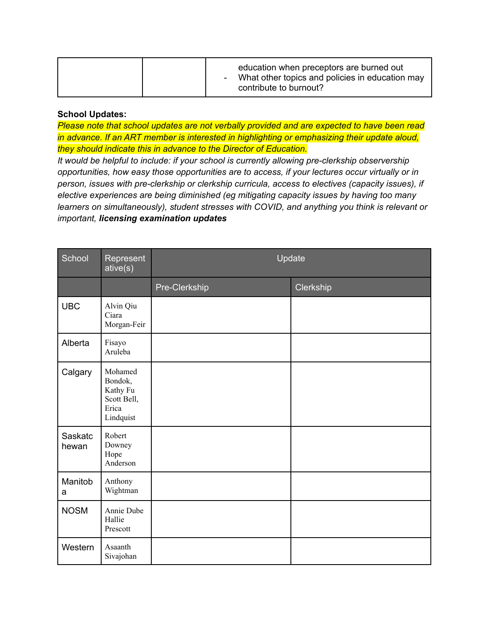## **School Updates:**

*Please note that school updates are not verbally provided and are expected to have been read in advance. If an ART member is interested in highlighting or emphasizing their update aloud, they should indicate this in advance to the Director of Education.*

*It would be helpful to include: if your school is currently allowing pre-clerkship observership opportunities, how easy those opportunities are to access, if your lectures occur virtually or in person, issues with pre-clerkship or clerkship curricula, access to electives (capacity issues), if elective experiences are being diminished (eg mitigating capacity issues by having too many learners on simultaneously), student stresses with COVID, and anything you think is relevant or important, licensing examination updates*

| School           | Represent<br>ative(s)                                               | Update        |           |
|------------------|---------------------------------------------------------------------|---------------|-----------|
|                  |                                                                     | Pre-Clerkship | Clerkship |
| <b>UBC</b>       | Alvin Qiu<br>Ciara<br>Morgan-Feir                                   |               |           |
| Alberta          | Fisayo<br>Aruleba                                                   |               |           |
| Calgary          | Mohamed<br>Bondok,<br>Kathy Fu<br>Scott Bell,<br>Erica<br>Lindquist |               |           |
| Saskatc<br>hewan | Robert<br>Downey<br>Hope<br>Anderson                                |               |           |
| Manitob<br>a     | Anthony<br>Wightman                                                 |               |           |
| <b>NOSM</b>      | Annie Dube<br>Hallie<br>Prescott                                    |               |           |
| Western          | Asaanth<br>Sivajohan                                                |               |           |